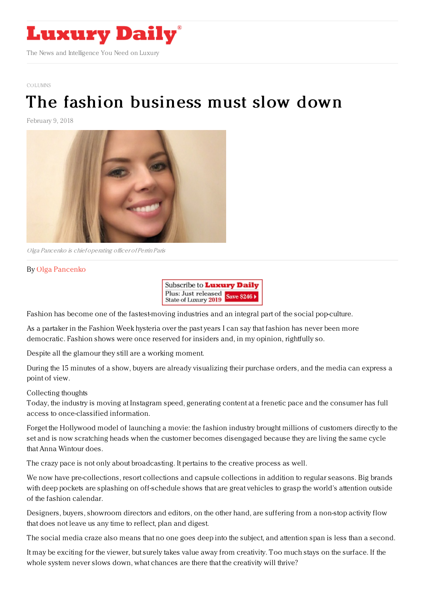

[COLUMNS](https://www.luxurydaily.com/category/opinion/columns/)

## The fashion [business](https://www.luxurydaily.com/the-fashion-business-must-slow-down/) must slow down

February 9, 2018



Olga Pancenko is chief operating officer of Perrin Paris

## By Olga [Pancenko](https://perrinparis.com/en/)



Fashion has become one of the fastest-moving industries and an integral part of the social pop-culture.

As a partaker in the Fashion Week hysteria over the past years I can say that fashion has never been more democratic. Fashion shows were once reserved for insiders and, in my opinion, rightfully so.

Despite all the glamour they still are a working moment.

During the 15 minutes of a show, buyers are already visualizing their purchase orders, and the media can express a point of view.

## Collecting thoughts

Today, the industry is moving at Instagram speed, generating content at a frenetic pace and the consumer has full access to once-classified information.

Forget the Hollywood model of launching a movie: the fashion industry brought millions of customers directly to the set and is now scratching heads when the customer becomes disengaged because they are living the same cycle that Anna Wintour does.

The crazy pace is not only about broadcasting. It pertains to the creative process as well.

We now have pre-collections, resort collections and capsule collections in addition to regular seasons. Big brands with deep pockets are splashing on off-schedule shows that are great vehicles to grasp the world's attention outside of the fashion calendar.

Designers, buyers, showroom directors and editors, on the other hand, are suffering from a non-stop activity flow that does not leave us any time to reflect, plan and digest.

The social media craze also means that no one goes deep into the subject, and attention span is less than a second.

It may be exciting for the viewer, but surely takes value away from creativity. Too much stays on the surface. If the whole system never slows down, what chances are there that the creativity will thrive?